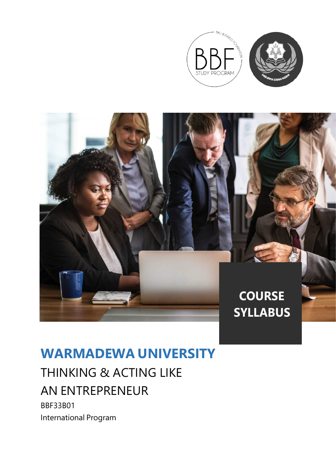



# **WARMADEWA UNIVERSITY**

# THINKING & ACTING LIKE AN ENTREPRENEUR

BBF33B01 International Program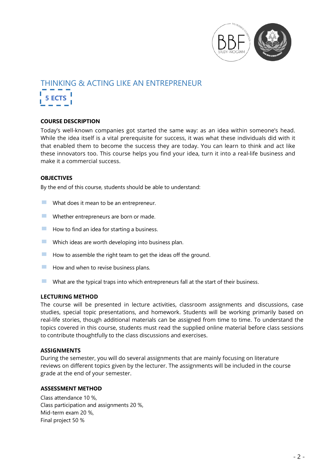

# THINKING & ACTING LIKE AN ENTREPRENEUR **5 ECTS**

### **COURSE DESCRIPTION**

Today's well-known companies got started the same way: as an idea within someone's head. While the idea itself is a vital prerequisite for success, it was what these individuals did with it that enabled them to become the success they are today. You can learn to think and act like these innovators too. This course helps you find your idea, turn it into a real-life business and make it a commercial success.

### **OBJECTIVES**

By the end of this course, students should be able to understand:

- **EXECUTE:** What does it mean to be an entrepreneur.
- $\blacksquare$  Whether entrepreneurs are born or made.
- $\blacksquare$  How to find an idea for starting a business.<br> $\blacksquare$  Which ideas are worth developing into business.
- Which ideas are worth developing into business plan.
- **EXECUTE:** How to assemble the right team to get the ideas off the ground.
- $\blacksquare$  How and when to revise business plans.
- $\blacksquare$  What are the typical traps into which entrepreneurs fall at the start of their business.

#### **LECTURING METHOD**

The course will be presented in lecture activities, classroom assignments and discussions, case studies, special topic presentations, and homework. Students will be working primarily based on real-life stories, though additional materials can be assigned from time to time. To understand the topics covered in this course, students must read the supplied online material before class sessions to contribute thoughtfully to the class discussions and exercises.

#### **ASSIGNMENTS**

During the semester, you will do several assignments that are mainly focusing on literature reviews on different topics given by the lecturer. The assignments will be included in the course grade at the end of your semester.

#### **ASSESSMENT METHOD**

Class attendance 10 %, Class participation and assignments 20 %, Mid-term exam 20 %, Final project 50 %